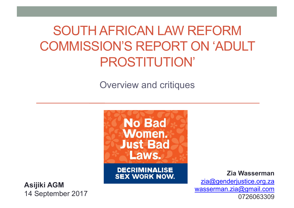## SOUTH AFRICAN LAW REFORM COMMISSION'S REPORT ON 'ADULT PROSTITUTION'

Overview and critiques



**DECRIMINALISE SEX WORK NOW.** 

**Asijiki AGM** 14 September 2017

**Zia Wasserman** zia@genderjustice.org.za wasserman.zia@gmail.com 0726063309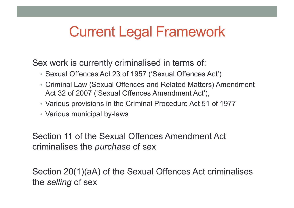## Current Legal Framework

Sex work is currently criminalised in terms of:

- Sexual Offences Act 23 of 1957 ('Sexual Offences Act')
- Criminal Law (Sexual Offences and Related Matters) Amendment Act 32 of 2007 ('Sexual Offences Amendment Act'),
- Various provisions in the Criminal Procedure Act 51 of 1977
- Various municipal by-laws

Section 11 of the Sexual Offences Amendment Act criminalises the *purchase* of sex

Section 20(1)(aA) of the Sexual Offences Act criminalises the *selling* of sex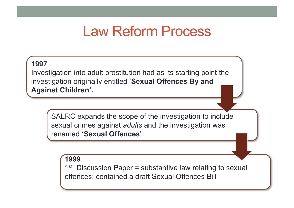### Law Reform Process

#### **1997**

Investigation into adult prostitution had as its starting point the investigation originally entitled '**Sexual Offences By and Against Children'.**

SALRC expands the scope of the investigation to include sexual crimes against *adults* and the investigation was renamed **'Sexual Offences**'.

#### **1999**

 $1<sup>st</sup>$  Discussion Paper = substantive law relating to sexual offences; contained a draft Sexual Offences Bill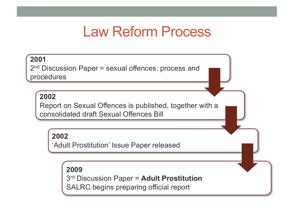### Law Reform Process

#### **2001**

2<sup>nd</sup> Discussion Paper = sexual offences: process and procedures

#### **2002**

Report on Sexual Offences is published, together with a consolidated draft Sexual Offences Bill

#### **2002**

'Adult Prostitution' Issue Paper released

#### **2009**

3rd Discussion Paper = **Adult Prostitution** SALRC begins preparing official report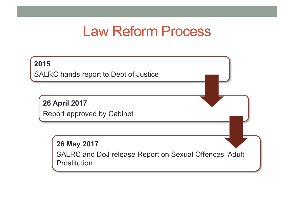### Law Reform Process

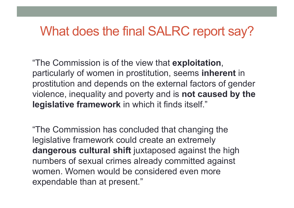#### What does the final SALRC report say?

"The Commission is of the view that **exploitation**, particularly of women in prostitution, seems **inherent** in prostitution and depends on the external factors of gender violence, inequality and poverty and is **not caused by the legislative framework** in which it finds itself."

"The Commission has concluded that changing the legislative framework could create an extremely **dangerous cultural shift** juxtaposed against the high numbers of sexual crimes already committed against women. Women would be considered even more expendable than at present."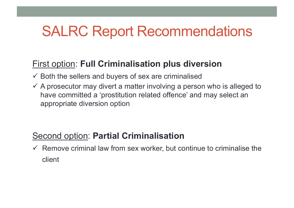## **SALRC Report Recommendations**

#### First option: **Full Criminalisation plus diversion**

- $\checkmark$  Both the sellers and buyers of sex are criminalised
- $\checkmark$  A prosecutor may divert a matter involving a person who is alleged to have committed a 'prostitution related offence' and may select an appropriate diversion option

#### Second option: **Partial Criminalisation**

 $\checkmark$  Remove criminal law from sex worker, but continue to criminalise the client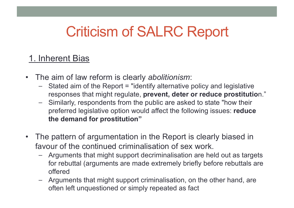#### 1. Inherent Bias

- The aim of law reform is clearly *abolitionism*:
	- Stated aim of the Report = "identify alternative policy and legislative responses that might regulate, **prevent, deter or reduce prostitutio**n."
	- ⎯ Similarly, respondents from the public are asked to state "how their preferred legislative option would affect the following issues: **reduce the demand for prostitution"**
- The pattern of argumentation in the Report is clearly biased in favour of the continued criminalisation of sex work.
	- Arguments that might support decriminalisation are held out as targets for rebuttal (arguments are made extremely briefly before rebuttals are offered
	- ⎯ Arguments that might support criminalisation, on the other hand, are often left unquestioned or simply repeated as fact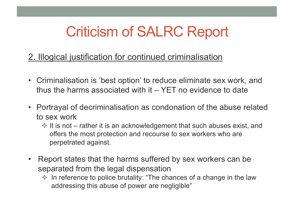#### 2. Illogical justification for continued criminalisation

- Criminalisation is 'best option' to reduce eliminate sex work, and thus the harms associated with it – YET no evidence to date
- Portrayal of decriminalisation as condonation of the abuse related to sex work
	- $\diamond$  It is not rather it is an acknowledgement that such abuses exist, and offers the most protection and recourse to sex workers who are perpetrated against.
- Report states that the harms suffered by sex workers can be separated from the legal dispensation
	- $\Diamond$  In reference to police brutality: "The chances of a change in the law addressing this abuse of power are negligible"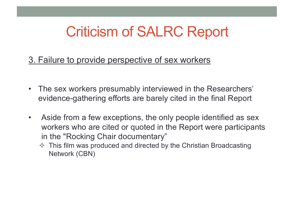3. Failure to provide perspective of sex workers

- The sex workers presumably interviewed in the Researchers' evidence-gathering efforts are barely cited in the final Report
- Aside from a few exceptions, the only people identified as sex workers who are cited or quoted in the Report were participants in the "Rocking Chair documentary"
	- $\Diamond$  This film was produced and directed by the Christian Broadcasting Network (CBN)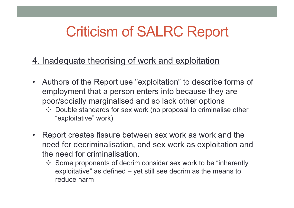- 4. Inadequate theorising of work and exploitation
- Authors of the Report use "exploitation" to describe forms of employment that a person enters into because they are poor/socially marginalised and so lack other options
	- $\Diamond$  Double standards for sex work (no proposal to criminalise other "exploitative" work)
- Report creates fissure between sex work as work and the need for decriminalisation, and sex work as exploitation and the need for criminalisation.
	- $\Diamond$  Some proponents of decrim consider sex work to be "inherently" exploitative" as defined – yet still see decrim as the means to reduce harm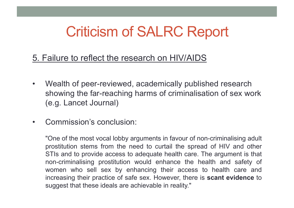- 5. Failure to reflect the research on HIV/AIDS
- Wealth of peer-reviewed, academically published research showing the far-reaching harms of criminalisation of sex work (e.g. Lancet Journal)
- Commission's conclusion:

"One of the most vocal lobby arguments in favour of non-criminalising adult prostitution stems from the need to curtail the spread of HIV and other STIs and to provide access to adequate health care. The argument is that non-criminalising prostitution would enhance the health and safety of women who sell sex by enhancing their access to health care and increasing their practice of safe sex. However, there is **scant evidence** to suggest that these ideals are achievable in reality."